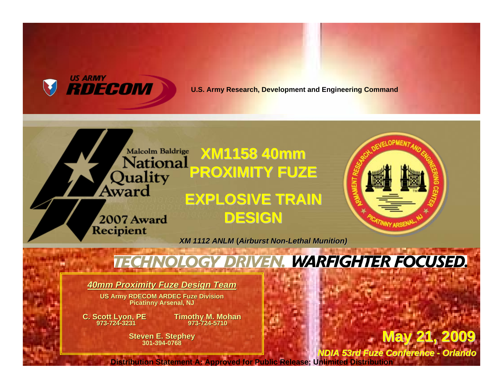

#### **U.S. Army Research, Development and Engineering Command**



# **VEN. WARFIGHTER FOCUSED.**

*40mm Proximity Fuze Design Team*

**US Ar m y RDECOM ARDE OM ARDEC Fuze Division Picatin n y Arsenal, NJ**

**C. S cott Lyon, PE 973-724-3231**

**Tim othy M. Moh a n 973-724-571 0**

**Steven E. Stephe y 301-394-0768**

**May 21, 2009 May 21, 2009**

*NDIA 53rd Fuze Conference -Orlando*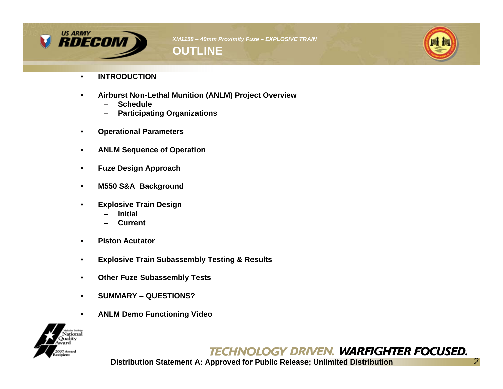



- **INTRODUCTION**
- **Airburst Non-Lethal Munition (ANLM) Project Overview**
	- **Schedule**
	- **Participating Organizations**
- **Operational Parameters**
- **ANLM Sequence of Operation**
- **Fuze Design Approach**
- **M550 S&A Background**
- **Explosive Train Design**
	- **Initial**
	- **Current**
- **Piston Acutator**
- **Explosive Train Subassembly Testing & Results**
- **Other Fuze Subassembly Tests**
- **SUMMARY QUESTIONS?**
- **ANLM Demo Functioning Video**



# **TECHNOLOGY DRIVEN. WARFIGHTER FOCUSED.**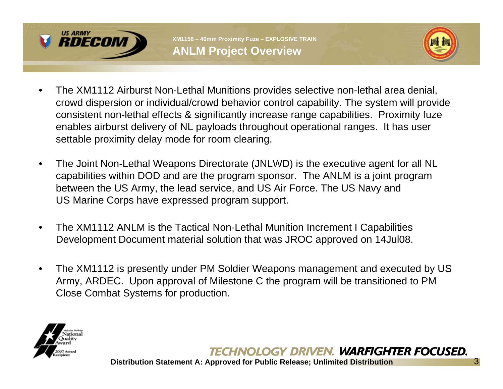



- The XM1112 Airburst Non-Lethal Munitions provides selective non-lethal area denial, crowd dispersion or individual/crowd behavior control capability. The system will provide consistent non-lethal effects & significantly increase range capabilities. Proximity fuze enables airburst delivery of NL payloads throughout operational ranges. It has user settable proximity delay mode for room clearing.
- The Joint Non-Lethal Weapons Directorate (JNLWD) is the executive agent for all NL capabilities within DOD and are the program sponsor. The ANLM is a joint program between the US Army, the lead service, and US Air Force. The US Navy and US Marine Corps have expressed program support.
- The XM1112 ANLM is the Tactical Non-Lethal Munition Increment I Capabilities Development Document material solution that was JROC approved on 14Jul08.
- The XM1112 is presently under PM Soldier Weapons management and executed by US Army, ARDEC. Upon approval of Milestone C the program will be transitioned to PM Close Combat Systems for production.



#### TECHNOLOGY DRIVEN. WARFIGHTER FOCUSED.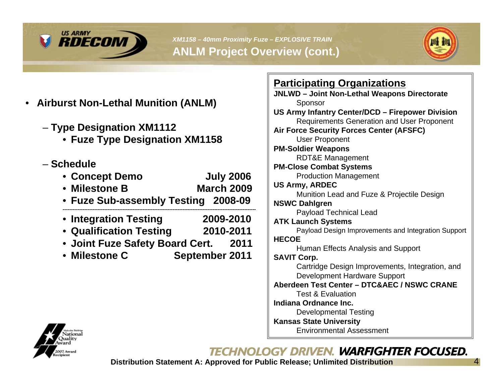

*XM1158 – 40mm Proximity Fuze – EXPLOSIVE TRAIN*  **ANLM Project Overview (cont.)**



- **Airburst Non-Lethal Munition (ANLM)**
	- **Type Designation XM1112**
		- **Fuze Type Designation XM1158**
	- **Schedule**
		- **Concept Demo July 2006**
		- **Milestone B March 2009**
		- **Fuze Sub-assembly Testing 2008-09**
		- **--------------------------------------------------------------------------------------------------------------------**• **Integration Testing 2009-2010**
		- **Qualification Testing 2010-2011**
		- **Joint Fuze Safety Board Cert. 2011**
		- **Milestone C September 2011**

| <u>Participating Organizations</u>                  |
|-----------------------------------------------------|
| JNLWD - Joint Non-Lethal Weapons Directorate        |
| Sponsor                                             |
| US Army Infantry Center/DCD - Firepower Division    |
| <b>Requirements Generation and User Proponent</b>   |
| <b>Air Force Security Forces Center (AFSFC)</b>     |
| <b>User Proponent</b>                               |
| <b>PM-Soldier Weapons</b>                           |
| <b>RDT&amp;E Management</b>                         |
| <b>PM-Close Combat Systems</b>                      |
| <b>Production Management</b>                        |
| <b>US Army, ARDEC</b>                               |
| Munition Lead and Fuze & Projectile Design          |
| <b>NSWC Dahlgren</b>                                |
| <b>Payload Technical Lead</b>                       |
| <b>ATK Launch Systems</b>                           |
| Payload Design Improvements and Integration Support |
| <b>HECOE</b>                                        |
| Human Effects Analysis and Support                  |
| <b>SAVIT Corp.</b>                                  |
| Cartridge Design Improvements, Integration, and     |
| Development Hardware Support                        |
| Aberdeen Test Center - DTC&AEC / NSWC CRANE         |
| <b>Test &amp; Evaluation</b>                        |
| Indiana Ordnance Inc.                               |
| <b>Developmental Testing</b>                        |
| <b>Kansas State University</b>                      |
| Environmental Assessment                            |



# TECHNOLOGY DRIVEN. WARFIGHTER FOCUSED.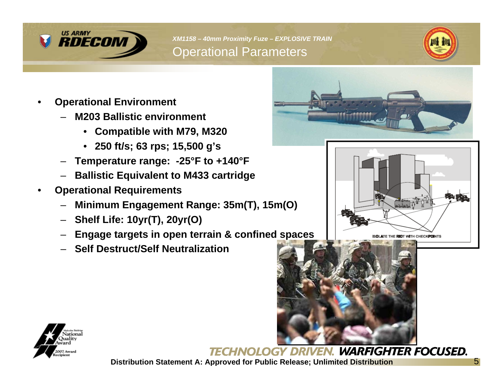

*XM1158 – 40mm Proximity Fuze – EXPLOSIVE TRAIN*  Operational Parameters



- **Operational Environment**
	- **M203 Ballistic environment**
		- **Compatible with M79, M320**
		- **250 ft/s; 63 rps; 15,500 g's**
	- **Temperature range: -25°F to +140°F**
	- **Ballistic Equivalent to M433 cartridge**
- **Operational Requirements**
	- **Minimum Engagement Range: 35m(T), 15m(O)**
	- **Shelf Life: 10yr(T), 20yr(O)**
	- **Engage targets in open terrain & confined spaces**
	- **Self Destruct/Self Neutralization**









OLOGY DRIVEN. WARFIGHTER FOCUSED.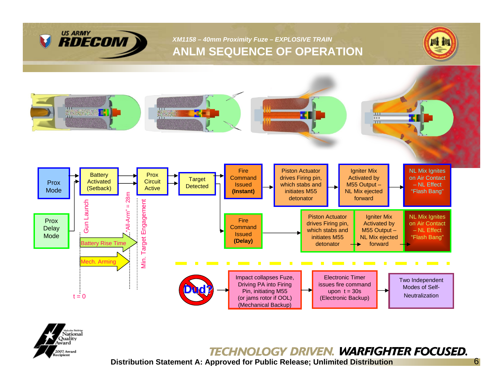

#### *XM1158 – 40mm Proximity Fuze – EXPLOSIVE TRAIN*  **ANLM SEQUENCE OF OPERATION**







#### **TECHNOLOGY DRIVEN. WARFIGHTER FOCUSED.**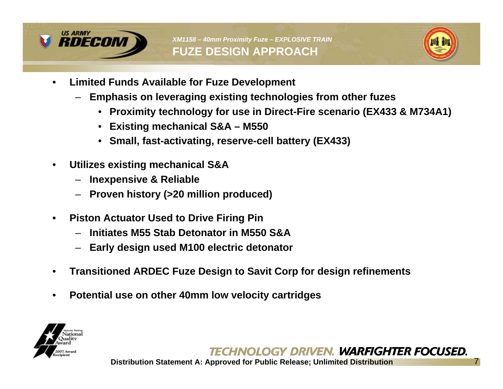



- **Limited Funds Available for Fuze Development**
	- **Emphasis on leveraging existing technologies from other fuzes**
		- **Proximity technology for use in Direct-Fire scenario (EX433 & M734A1)**
		- **Existing mechanical S&A M550**
		- **Small, fast-activating, reserve-cell battery (EX433)**
- **Utilizes existing mechanical S&A**
	- **Inexpensive & Reliable**
	- **Proven history (>20 million produced)**
- **Piston Actuator Used to Drive Firing Pin**
	- **Initiates M55 Stab Detonator in M550 S&A**
	- **Early design used M100 electric detonator**
- **Transitioned ARDEC Fuze Design to Savit Corp for design refinements**
- **Potential use on other 40mm low velocity cartridges**

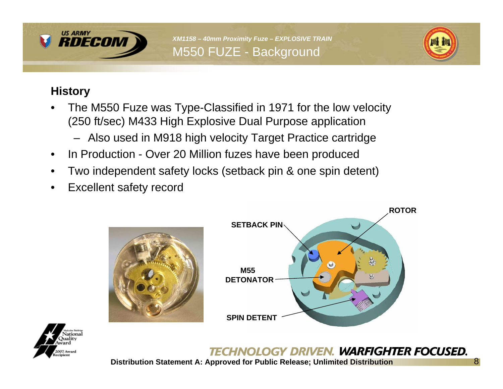

*XM1158 – 40mm Proximity Fuze – EXPLOSIVE TRAIN*  M550 FUZE - Background



# **History**

- The M550 Fuze was Type-Classified in 1971 for the low velocity (250 ft/sec) M433 High Explosive Dual Purpose application
	- Also used in M918 high velocity Target Practice cartridge
- In Production Over 20 Million fuzes have been produced
- Two independent safety locks (setback pin & one spin detent)
- Excellent safety record







# TECHNOLOGY DRIVEN. WARFIGHTER FOCUSED.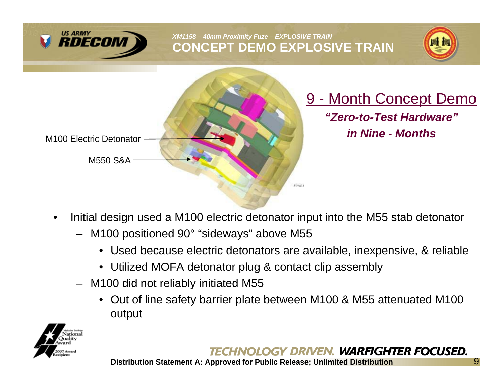

*XM1158 – 40mm Proximity Fuze – EXPLOSIVE TRAIN*  **CONCEPT DEMO EXPLOSIVE TRAIN**





9 - Month Concept Demo *"Zero-to-Test Hardware"in Nine - Months*

- Initial design used a M100 electric detonator input into the M55 stab detonator
	- M100 positioned 90° "sideways" above M55
		- Used because electric detonators are available, inexpensive, & reliable
		- Utilized MOFA detonator plug & contact clip assembly
	- M100 did not reliably initiated M55
		- Out of line safety barrier plate between M100 & M55 attenuated M100 output



# CHNOLOGY DRIVEN. WARFIGHTER FOCUSED.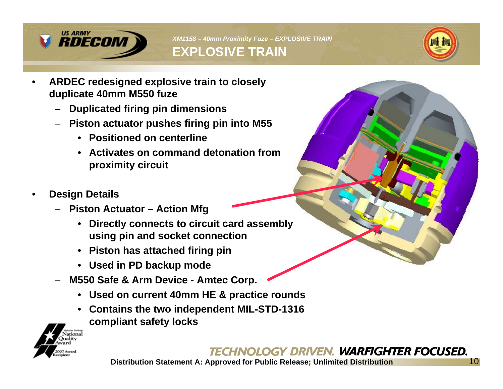

*XM1158 – 40mm Proximity Fuze – EXPLOSIVE TRAIN*  **EXPLOSIVE TRAIN**



- **ARDEC redesigned explosive train to closely duplicate 40mm M550 fuze**
	- **Duplicated firing pin dimensions**
	- **Piston actuator pushes firing pin into M55**
		- **Positioned on centerline**
		- **Activates on command detonation from proximity circuit**
- **Design Details**
	- **Piston Actuator Action Mfg**
		- **Directly connects to circuit card assembly using pin and socket connection**
		- **Piston has attached firing pin**
		- **Used in PD backup mode**
	- **M550 Safe & Arm Device Amtec Corp.**
		- **Used on current 40mm HE & practice rounds**
		- **Contains the two independent MIL-STD-1316 compliant safety locks**



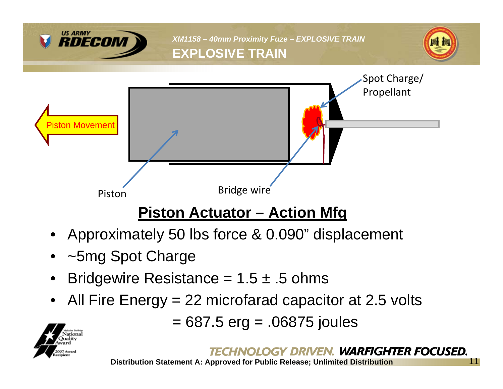

- Approximately 50 lbs force & 0.090" displacement
- ~5mg Spot Charge
- Bridgewire Resistance =  $1.5 \pm .5$  ohms
- All Fire Energy = 22 microfarad capacitor at 2.5 volts

= 687.5 erg = .06875 joules

# HNOLOGY DRIVEN. WARFIGHTER FOCUSED.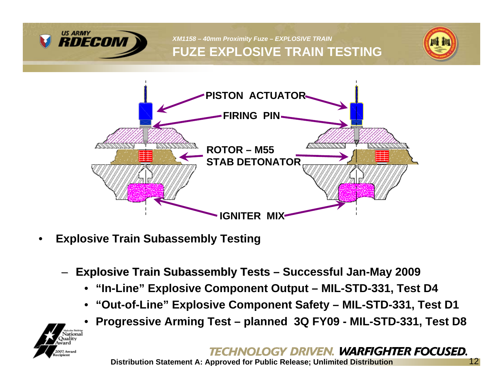

*XM1158 – 40mm Proximity Fuze – EXPLOSIVE TRAIN*  **FUZE EXPLOSIVE TRAIN TESTING**





- **Explosive Train Subassembly Testing**
	- –**Explosive Train Subassembly Tests Successful Jan-May 2009 Explosive Train Subassembly Tests**
		- **"In-Line" Explosive Component Output MIL-STD-331, Test D4**
		- **"Out-of-Line" Explosive Component Safety MIL-STD-331, Test D1**
		- **Progressive Arming Test planned 3Q FY09 MIL-STD-331, Test D8**

#### HNOLOGY DRIVEN. WARFIGHTER FOCUSED.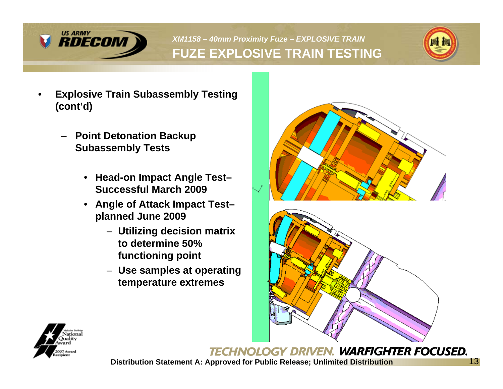

# *XM1158 – 40mm Proximity Fuze – EXPLOSIVE TRAIN*  **FUZE EXPLOSIVE TRAIN TESTING**



- **Explosive Train Subassembly Testing (cont'd)**
	- **Point Detonation Backup Subassembly Tests**
		- **Head-on Impact Angle Test– Successful March 2009**
		- **Angle of Attack Impact Test– planned June 2009**
			- **Utilizing decision matrix to determine 50% functioning point**
			- **Use samples at operating temperature extremes**





**TECHNOLOGY DRIVEN. WARFIGHTER FOCUSED.**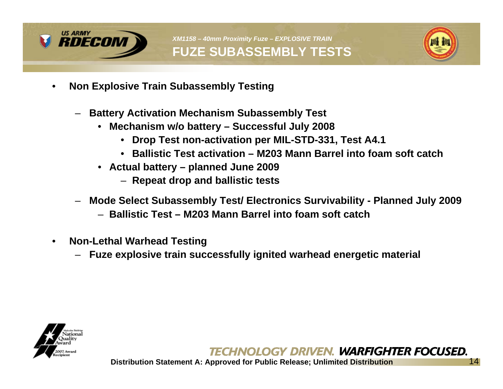

*XM1158 – 40mm Proximity Fuze – EXPLOSIVE TRAIN*  **FUZE SUBASSEMBLY TESTS**



- **Non Explosive Train Subassembly Testing**
	- **Battery Activation Mechanism Subassembly Test**
		- **Mechanism w/o battery Successful July 2008**
			- **Drop Test non-activation per MIL-STD-331, Test A4.1**
			- **Ballistic Test activation M203 Mann Barrel into foam soft catch**
		- **Actual battery planned June 2009**
			- **Repeat drop and ballistic tests**
	- **Mode Select Subassembly Test/ Electronics Survivability Planned July 2009**
		- **Ballistic Test M203 Mann Barrel into foam soft catch**
- **Non-Lethal Warhead Testing**
	- **Fuze explosive train successfully ignited warhead energetic material**

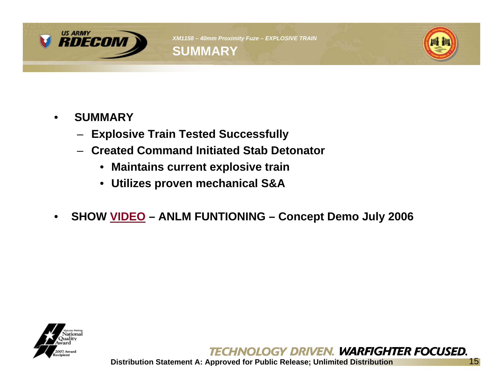



- **SUMMARY**
	- **Explosive Train Tested Successfully**
	- **Created Command Initiated Stab Detonator**
		- **Maintains current explosive train**
		- **Utilizes proven mechanical S&A**
- **SHOW VIDEO ANLM FUNTIONING Concept Demo July 2006**



**TECHNOLOGY DRIVEN. WARFIGHTER FOCUSED.**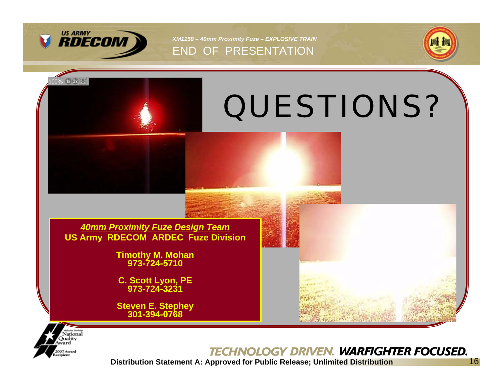

*XM1158 – 40mm Proximity Fuze – EXPLOSIVE TRAIN*  END OF PRESENTATION







#### **TECHNOLOGY DRIVEN. WARFIGHTER FOCUSED.**